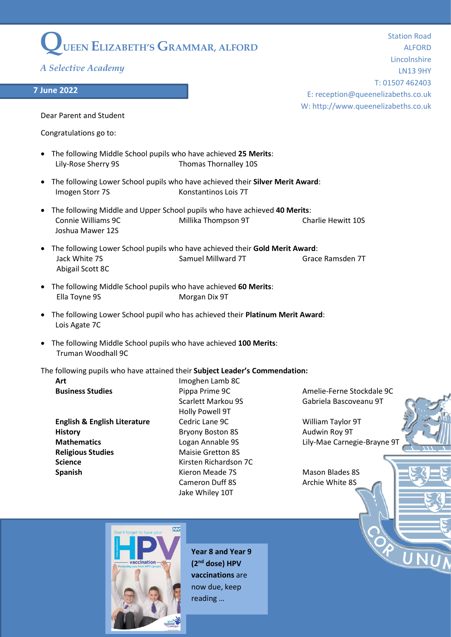## **QUEEN ELIZABETH'S GRAMMAR, ALFORD**

*A Selective Academy*

## **7 June 2022**

Station Road ALFORD Lincolnshire LN13 9HY T: 01507 462403 E: reception@queenelizabeths.co.uk W: http://www.queenelizabeths.co.uk

Dear Parent and Student

Congratulations go to:

- The following Middle School pupils who have achieved **25 Merits**: Lily-Rose Sherry 9S Thomas Thornalley 10S
- The following Lower School pupils who have achieved their **Silver Merit Award**: Imogen Storr 7S Konstantinos Lois 7T
- The following Middle and Upper School pupils who have achieved **40 Merits**: Connie Williams 9C Millika Thompson 9T Charlie Hewitt 10S Joshua Mawer 12S
- The following Lower School pupils who have achieved their **Gold Merit Award**: Jack White 7S **Samuel Millward 7T** Grace Ramsden 7T Abigail Scott 8C
- The following Middle School pupils who have achieved **60 Merits**: Ella Toyne 9S Morgan Dix 9T
- The following Lower School pupil who has achieved their **Platinum Merit Award**: Lois Agate 7C
- The following Middle School pupils who have achieved **100 Merits**: Truman Woodhall 9C

## The following pupils who have attained their **Subject Leader's Commendation:**

| <b>AIL</b>                              |  |
|-----------------------------------------|--|
| <b>Business Studies</b>                 |  |
|                                         |  |
| <b>English &amp; English Literature</b> |  |
|                                         |  |
| <b>History</b>                          |  |
| <b>Mathematics</b>                      |  |
| <b>Religious Studies</b>                |  |
| Science                                 |  |
| <b>Spanish</b>                          |  |
|                                         |  |

**Art** Imoghen Lamb 8C Holly Powell 9T **English & English Literature** Cedric Lane 9C William Taylor 9T **Bryony Boston 8S** Audwin Roy 9T **Maisie Gretton 8S Science** Kirsten Richardson 7C Kieron Meade 7S Mason Blades 8S Cameron Duff 8S Archie White 8S Jake Whiley 10T

Pippa Prime 9C **Amelie-Ferne Stockdale 9C** Scarlett Markou 9S Gabriela Bascoveanu 9T

**Mathematics** Logan Annable 9S Lily-Mae Carnegie-Brayne 9T





**Year 8 and Year 9 (2 nd dose) HPV vaccinations** are now due, keep reading …